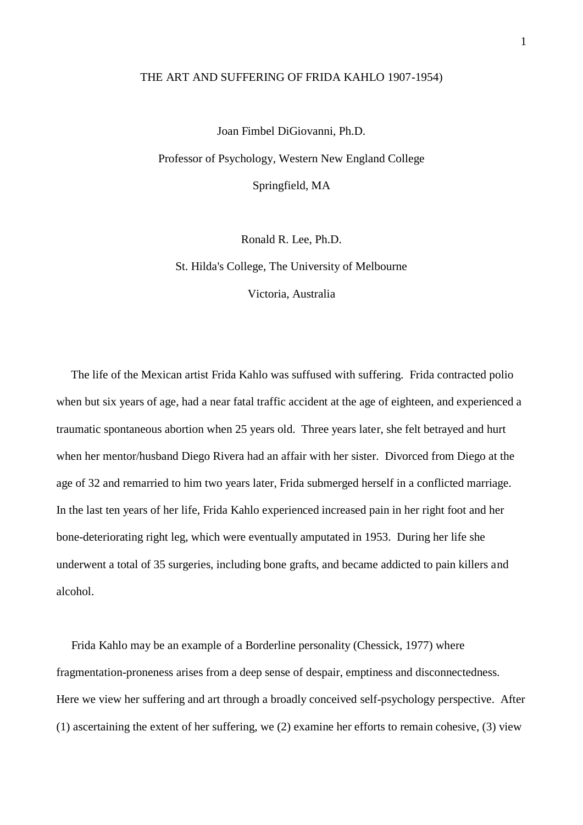#### THE ART AND SUFFERING OF FRIDA KAHLO 1907-1954)

Joan Fimbel DiGiovanni, Ph.D. Professor of Psychology, Western New England College Springfield, MA

Ronald R. Lee, Ph.D.

St. Hilda's College, The University of Melbourne Victoria, Australia

 The life of the Mexican artist Frida Kahlo was suffused with suffering. Frida contracted polio when but six years of age, had a near fatal traffic accident at the age of eighteen, and experienced a traumatic spontaneous abortion when 25 years old. Three years later, she felt betrayed and hurt when her mentor/husband Diego Rivera had an affair with her sister. Divorced from Diego at the age of 32 and remarried to him two years later, Frida submerged herself in a conflicted marriage. In the last ten years of her life, Frida Kahlo experienced increased pain in her right foot and her bone-deteriorating right leg, which were eventually amputated in 1953. During her life she underwent a total of 35 surgeries, including bone grafts, and became addicted to pain killers and alcohol.

 Frida Kahlo may be an example of a Borderline personality (Chessick, 1977) where fragmentation-proneness arises from a deep sense of despair, emptiness and disconnectedness. Here we view her suffering and art through a broadly conceived self-psychology perspective. After (1) ascertaining the extent of her suffering, we (2) examine her efforts to remain cohesive, (3) view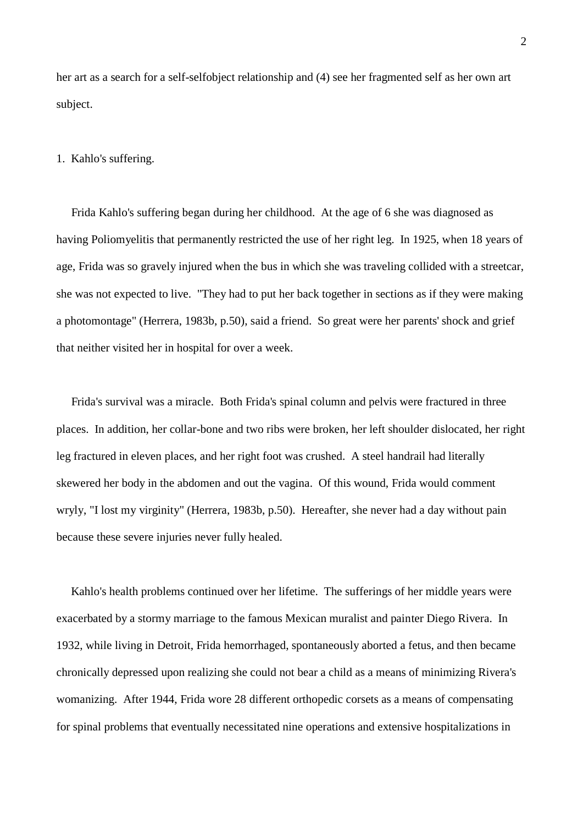her art as a search for a self-selfobject relationship and (4) see her fragmented self as her own art subject.

#### 1. Kahlo's suffering.

 Frida Kahlo's suffering began during her childhood. At the age of 6 she was diagnosed as having Poliomyelitis that permanently restricted the use of her right leg. In 1925, when 18 years of age, Frida was so gravely injured when the bus in which she was traveling collided with a streetcar, she was not expected to live. "They had to put her back together in sections as if they were making a photomontage" (Herrera, 1983b, p.50), said a friend. So great were her parents' shock and grief that neither visited her in hospital for over a week.

 Frida's survival was a miracle. Both Frida's spinal column and pelvis were fractured in three places. In addition, her collar-bone and two ribs were broken, her left shoulder dislocated, her right leg fractured in eleven places, and her right foot was crushed. A steel handrail had literally skewered her body in the abdomen and out the vagina. Of this wound, Frida would comment wryly, "I lost my virginity" (Herrera, 1983b, p.50). Hereafter, she never had a day without pain because these severe injuries never fully healed.

 Kahlo's health problems continued over her lifetime. The sufferings of her middle years were exacerbated by a stormy marriage to the famous Mexican muralist and painter Diego Rivera. In 1932, while living in Detroit, Frida hemorrhaged, spontaneously aborted a fetus, and then became chronically depressed upon realizing she could not bear a child as a means of minimizing Rivera's womanizing. After 1944, Frida wore 28 different orthopedic corsets as a means of compensating for spinal problems that eventually necessitated nine operations and extensive hospitalizations in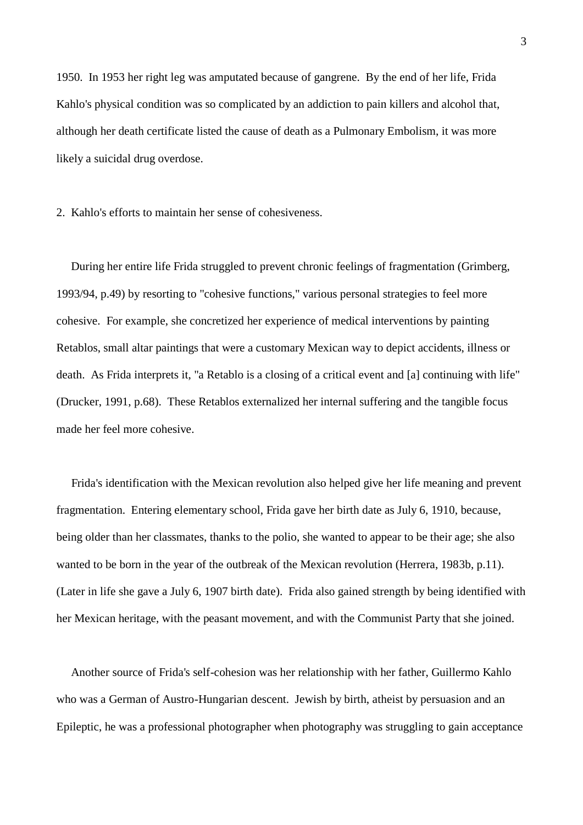1950. In 1953 her right leg was amputated because of gangrene. By the end of her life, Frida Kahlo's physical condition was so complicated by an addiction to pain killers and alcohol that, although her death certificate listed the cause of death as a Pulmonary Embolism, it was more likely a suicidal drug overdose.

2. Kahlo's efforts to maintain her sense of cohesiveness.

 During her entire life Frida struggled to prevent chronic feelings of fragmentation (Grimberg, 1993/94, p.49) by resorting to "cohesive functions," various personal strategies to feel more cohesive. For example, she concretized her experience of medical interventions by painting Retablos, small altar paintings that were a customary Mexican way to depict accidents, illness or death. As Frida interprets it, "a Retablo is a closing of a critical event and [a] continuing with life" (Drucker, 1991, p.68). These Retablos externalized her internal suffering and the tangible focus made her feel more cohesive.

 Frida's identification with the Mexican revolution also helped give her life meaning and prevent fragmentation. Entering elementary school, Frida gave her birth date as July 6, 1910, because, being older than her classmates, thanks to the polio, she wanted to appear to be their age; she also wanted to be born in the year of the outbreak of the Mexican revolution (Herrera, 1983b, p.11). (Later in life she gave a July 6, 1907 birth date). Frida also gained strength by being identified with her Mexican heritage, with the peasant movement, and with the Communist Party that she joined.

 Another source of Frida's self-cohesion was her relationship with her father, Guillermo Kahlo who was a German of Austro-Hungarian descent. Jewish by birth, atheist by persuasion and an Epileptic, he was a professional photographer when photography was struggling to gain acceptance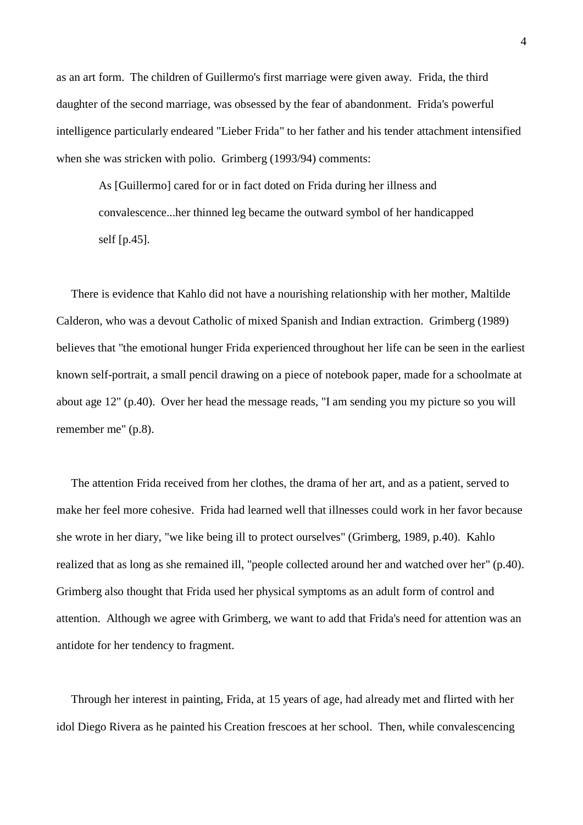as an art form. The children of Guillermo's first marriage were given away. Frida, the third daughter of the second marriage, was obsessed by the fear of abandonment. Frida's powerful intelligence particularly endeared "Lieber Frida" to her father and his tender attachment intensified when she was stricken with polio. Grimberg (1993/94) comments:

As [Guillermo] cared for or in fact doted on Frida during her illness and convalescence...her thinned leg became the outward symbol of her handicapped self [p.45].

 There is evidence that Kahlo did not have a nourishing relationship with her mother, Maltilde Calderon, who was a devout Catholic of mixed Spanish and Indian extraction. Grimberg (1989) believes that "the emotional hunger Frida experienced throughout her life can be seen in the earliest known self-portrait, a small pencil drawing on a piece of notebook paper, made for a schoolmate at about age 12" (p.40). Over her head the message reads, "I am sending you my picture so you will remember me" (p.8).

 The attention Frida received from her clothes, the drama of her art, and as a patient, served to make her feel more cohesive. Frida had learned well that illnesses could work in her favor because she wrote in her diary, "we like being ill to protect ourselves" (Grimberg, 1989, p.40). Kahlo realized that as long as she remained ill, "people collected around her and watched over her" (p.40). Grimberg also thought that Frida used her physical symptoms as an adult form of control and attention. Although we agree with Grimberg, we want to add that Frida's need for attention was an antidote for her tendency to fragment.

 Through her interest in painting, Frida, at 15 years of age, had already met and flirted with her idol Diego Rivera as he painted his Creation frescoes at her school. Then, while convalescencing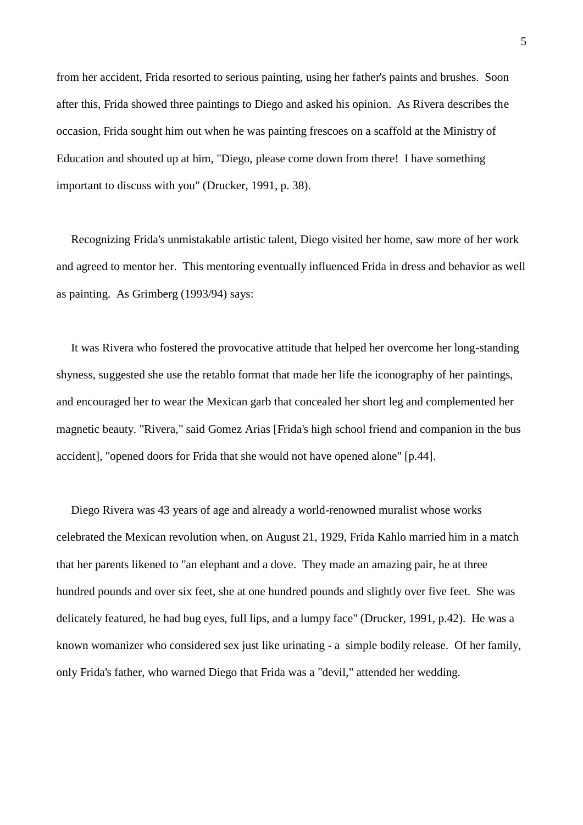from her accident, Frida resorted to serious painting, using her father's paints and brushes. Soon after this, Frida showed three paintings to Diego and asked his opinion. As Rivera describes the occasion, Frida sought him out when he was painting frescoes on a scaffold at the Ministry of Education and shouted up at him, "Diego, please come down from there! I have something important to discuss with you" (Drucker, 1991, p. 38).

 Recognizing Frida's unmistakable artistic talent, Diego visited her home, saw more of her work and agreed to mentor her. This mentoring eventually influenced Frida in dress and behavior as well as painting. As Grimberg (1993/94) says:

 It was Rivera who fostered the provocative attitude that helped her overcome her long-standing shyness, suggested she use the retablo format that made her life the iconography of her paintings, and encouraged her to wear the Mexican garb that concealed her short leg and complemented her magnetic beauty. "Rivera," said Gomez Arias [Frida's high school friend and companion in the bus accident], "opened doors for Frida that she would not have opened alone" [p.44].

 Diego Rivera was 43 years of age and already a world-renowned muralist whose works celebrated the Mexican revolution when, on August 21, 1929, Frida Kahlo married him in a match that her parents likened to "an elephant and a dove. They made an amazing pair, he at three hundred pounds and over six feet, she at one hundred pounds and slightly over five feet. She was delicately featured, he had bug eyes, full lips, and a lumpy face" (Drucker, 1991, p.42). He was a known womanizer who considered sex just like urinating - a simple bodily release. Of her family, only Frida's father, who warned Diego that Frida was a "devil," attended her wedding.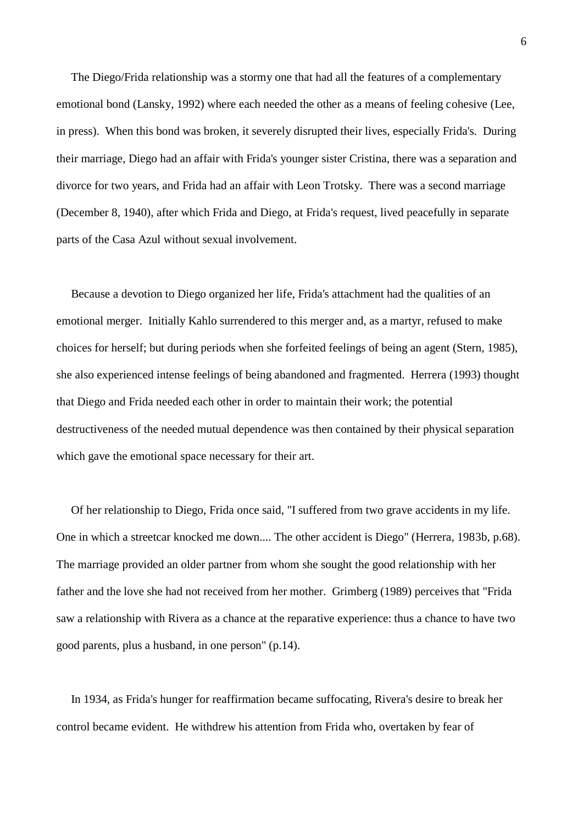The Diego/Frida relationship was a stormy one that had all the features of a complementary emotional bond (Lansky, 1992) where each needed the other as a means of feeling cohesive (Lee, in press). When this bond was broken, it severely disrupted their lives, especially Frida's. During their marriage, Diego had an affair with Frida's younger sister Cristina, there was a separation and divorce for two years, and Frida had an affair with Leon Trotsky. There was a second marriage (December 8, 1940), after which Frida and Diego, at Frida's request, lived peacefully in separate parts of the Casa Azul without sexual involvement.

 Because a devotion to Diego organized her life, Frida's attachment had the qualities of an emotional merger. Initially Kahlo surrendered to this merger and, as a martyr, refused to make choices for herself; but during periods when she forfeited feelings of being an agent (Stern, 1985), she also experienced intense feelings of being abandoned and fragmented. Herrera (1993) thought that Diego and Frida needed each other in order to maintain their work; the potential destructiveness of the needed mutual dependence was then contained by their physical separation which gave the emotional space necessary for their art.

 Of her relationship to Diego, Frida once said, "I suffered from two grave accidents in my life. One in which a streetcar knocked me down.... The other accident is Diego" (Herrera, 1983b, p.68). The marriage provided an older partner from whom she sought the good relationship with her father and the love she had not received from her mother. Grimberg (1989) perceives that "Frida saw a relationship with Rivera as a chance at the reparative experience: thus a chance to have two good parents, plus a husband, in one person" (p.14).

 In 1934, as Frida's hunger for reaffirmation became suffocating, Rivera's desire to break her control became evident. He withdrew his attention from Frida who, overtaken by fear of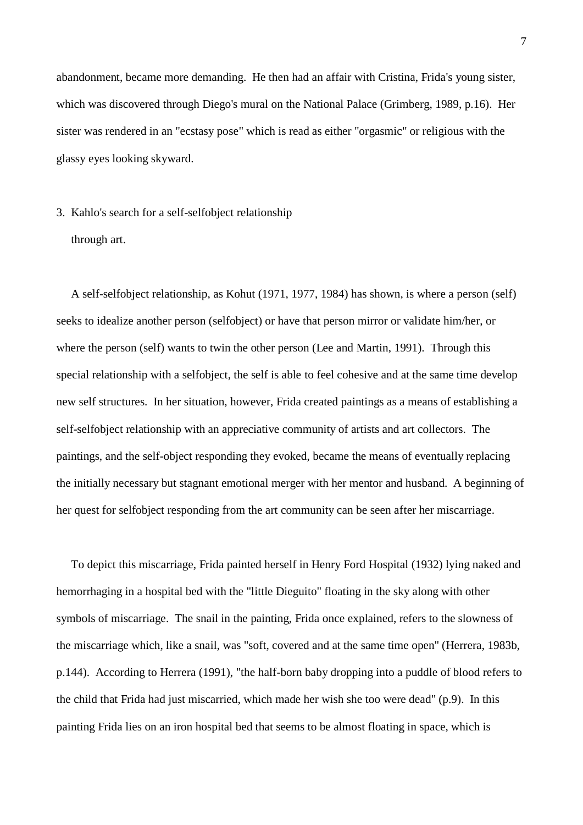abandonment, became more demanding. He then had an affair with Cristina, Frida's young sister, which was discovered through Diego's mural on the National Palace (Grimberg, 1989, p.16). Her sister was rendered in an "ecstasy pose" which is read as either "orgasmic" or religious with the glassy eyes looking skyward.

# 3. Kahlo's search for a self-selfobject relationship through art.

 A self-selfobject relationship, as Kohut (1971, 1977, 1984) has shown, is where a person (self) seeks to idealize another person (selfobject) or have that person mirror or validate him/her, or where the person (self) wants to twin the other person (Lee and Martin, 1991). Through this special relationship with a selfobject, the self is able to feel cohesive and at the same time develop new self structures. In her situation, however, Frida created paintings as a means of establishing a self-selfobject relationship with an appreciative community of artists and art collectors. The paintings, and the self-object responding they evoked, became the means of eventually replacing the initially necessary but stagnant emotional merger with her mentor and husband. A beginning of her quest for selfobject responding from the art community can be seen after her miscarriage.

 To depict this miscarriage, Frida painted herself in Henry Ford Hospital (1932) lying naked and hemorrhaging in a hospital bed with the "little Dieguito" floating in the sky along with other symbols of miscarriage. The snail in the painting, Frida once explained, refers to the slowness of the miscarriage which, like a snail, was "soft, covered and at the same time open" (Herrera, 1983b, p.144). According to Herrera (1991), "the half-born baby dropping into a puddle of blood refers to the child that Frida had just miscarried, which made her wish she too were dead" (p.9). In this painting Frida lies on an iron hospital bed that seems to be almost floating in space, which is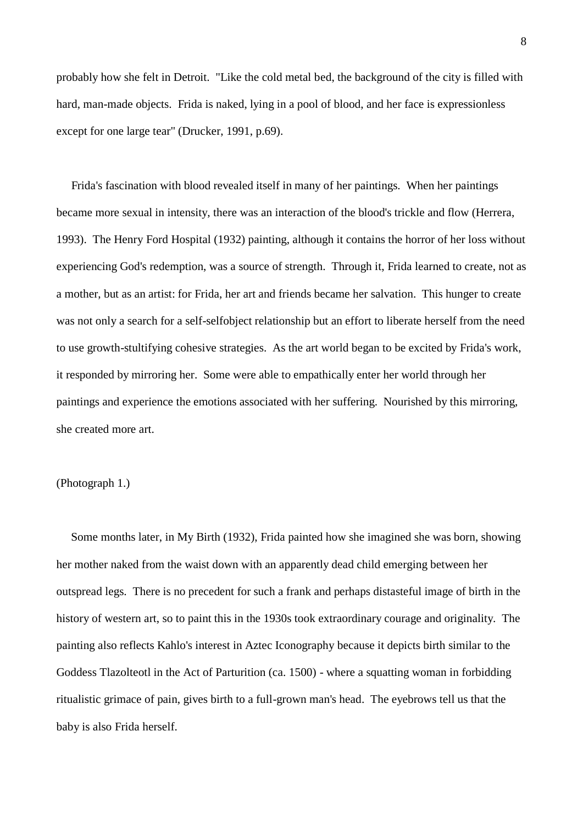probably how she felt in Detroit. "Like the cold metal bed, the background of the city is filled with hard, man-made objects. Frida is naked, lying in a pool of blood, and her face is expressionless except for one large tear" (Drucker, 1991, p.69).

 Frida's fascination with blood revealed itself in many of her paintings. When her paintings became more sexual in intensity, there was an interaction of the blood's trickle and flow (Herrera, 1993). The Henry Ford Hospital (1932) painting, although it contains the horror of her loss without experiencing God's redemption, was a source of strength. Through it, Frida learned to create, not as a mother, but as an artist: for Frida, her art and friends became her salvation. This hunger to create was not only a search for a self-selfobject relationship but an effort to liberate herself from the need to use growth-stultifying cohesive strategies. As the art world began to be excited by Frida's work, it responded by mirroring her. Some were able to empathically enter her world through her paintings and experience the emotions associated with her suffering. Nourished by this mirroring, she created more art.

### (Photograph 1.)

 Some months later, in My Birth (1932), Frida painted how she imagined she was born, showing her mother naked from the waist down with an apparently dead child emerging between her outspread legs. There is no precedent for such a frank and perhaps distasteful image of birth in the history of western art, so to paint this in the 1930s took extraordinary courage and originality. The painting also reflects Kahlo's interest in Aztec Iconography because it depicts birth similar to the Goddess Tlazolteotl in the Act of Parturition (ca. 1500) - where a squatting woman in forbidding ritualistic grimace of pain, gives birth to a full-grown man's head. The eyebrows tell us that the baby is also Frida herself.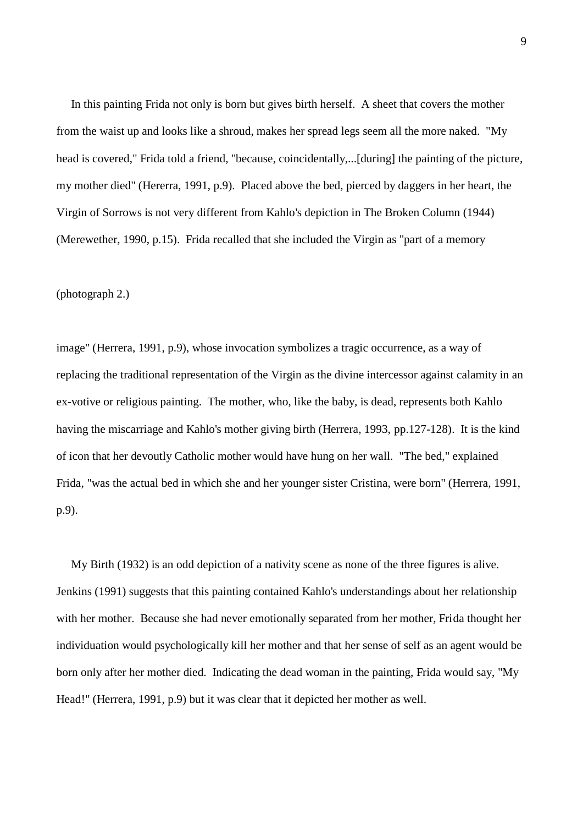In this painting Frida not only is born but gives birth herself. A sheet that covers the mother from the waist up and looks like a shroud, makes her spread legs seem all the more naked. "My head is covered," Frida told a friend, "because, coincidentally,...[during] the painting of the picture, my mother died" (Hererra, 1991, p.9). Placed above the bed, pierced by daggers in her heart, the Virgin of Sorrows is not very different from Kahlo's depiction in The Broken Column (1944) (Merewether, 1990, p.15). Frida recalled that she included the Virgin as "part of a memory

#### (photograph 2.)

image" (Herrera, 1991, p.9), whose invocation symbolizes a tragic occurrence, as a way of replacing the traditional representation of the Virgin as the divine intercessor against calamity in an ex-votive or religious painting. The mother, who, like the baby, is dead, represents both Kahlo having the miscarriage and Kahlo's mother giving birth (Herrera, 1993, pp.127-128). It is the kind of icon that her devoutly Catholic mother would have hung on her wall. "The bed," explained Frida, "was the actual bed in which she and her younger sister Cristina, were born" (Herrera, 1991, p.9).

 My Birth (1932) is an odd depiction of a nativity scene as none of the three figures is alive. Jenkins (1991) suggests that this painting contained Kahlo's understandings about her relationship with her mother. Because she had never emotionally separated from her mother, Frida thought her individuation would psychologically kill her mother and that her sense of self as an agent would be born only after her mother died. Indicating the dead woman in the painting, Frida would say, "My Head!" (Herrera, 1991, p.9) but it was clear that it depicted her mother as well.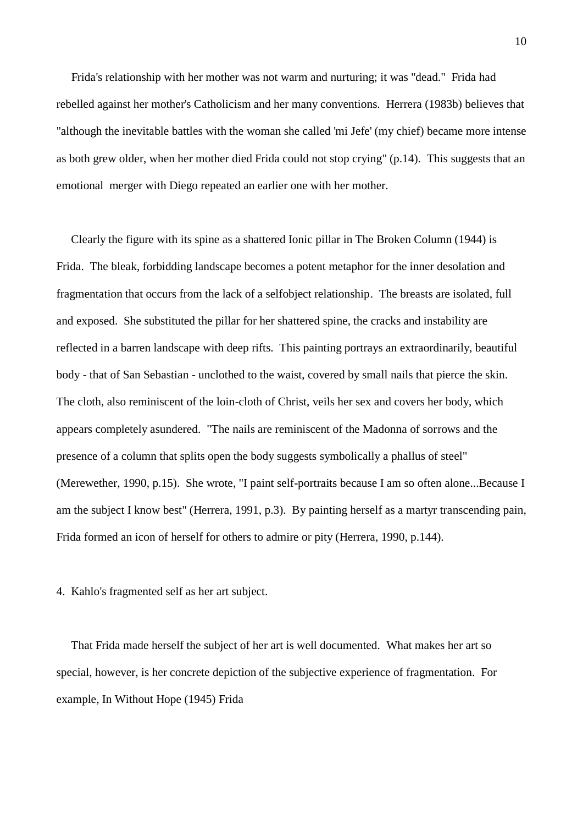Frida's relationship with her mother was not warm and nurturing; it was "dead." Frida had rebelled against her mother's Catholicism and her many conventions. Herrera (1983b) believes that "although the inevitable battles with the woman she called 'mi Jefe' (my chief) became more intense as both grew older, when her mother died Frida could not stop crying" (p.14). This suggests that an emotional merger with Diego repeated an earlier one with her mother.

 Clearly the figure with its spine as a shattered Ionic pillar in The Broken Column (1944) is Frida. The bleak, forbidding landscape becomes a potent metaphor for the inner desolation and fragmentation that occurs from the lack of a selfobject relationship. The breasts are isolated, full and exposed. She substituted the pillar for her shattered spine, the cracks and instability are reflected in a barren landscape with deep rifts. This painting portrays an extraordinarily, beautiful body - that of San Sebastian - unclothed to the waist, covered by small nails that pierce the skin. The cloth, also reminiscent of the loin-cloth of Christ, veils her sex and covers her body, which appears completely asundered. "The nails are reminiscent of the Madonna of sorrows and the presence of a column that splits open the body suggests symbolically a phallus of steel" (Merewether, 1990, p.15). She wrote, "I paint self-portraits because I am so often alone...Because I am the subject I know best" (Herrera, 1991, p.3). By painting herself as a martyr transcending pain, Frida formed an icon of herself for others to admire or pity (Herrera, 1990, p.144).

4. Kahlo's fragmented self as her art subject.

 That Frida made herself the subject of her art is well documented. What makes her art so special, however, is her concrete depiction of the subjective experience of fragmentation. For example, In Without Hope (1945) Frida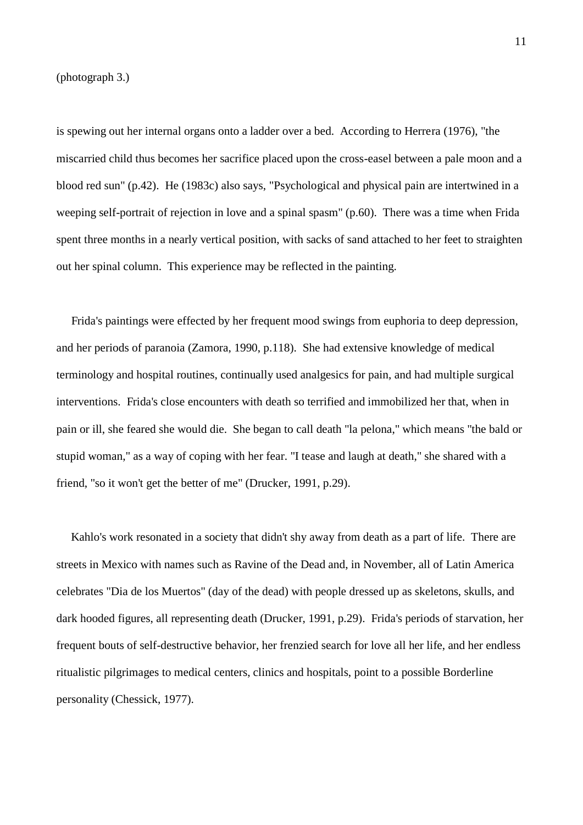(photograph 3.)

is spewing out her internal organs onto a ladder over a bed. According to Herrera (1976), "the miscarried child thus becomes her sacrifice placed upon the cross-easel between a pale moon and a blood red sun" (p.42). He (1983c) also says, "Psychological and physical pain are intertwined in a weeping self-portrait of rejection in love and a spinal spasm" (p.60). There was a time when Frida spent three months in a nearly vertical position, with sacks of sand attached to her feet to straighten out her spinal column. This experience may be reflected in the painting.

 Frida's paintings were effected by her frequent mood swings from euphoria to deep depression, and her periods of paranoia (Zamora, 1990, p.118). She had extensive knowledge of medical terminology and hospital routines, continually used analgesics for pain, and had multiple surgical interventions. Frida's close encounters with death so terrified and immobilized her that, when in pain or ill, she feared she would die. She began to call death "la pelona," which means "the bald or stupid woman," as a way of coping with her fear. "I tease and laugh at death," she shared with a friend, "so it won't get the better of me" (Drucker, 1991, p.29).

 Kahlo's work resonated in a society that didn't shy away from death as a part of life. There are streets in Mexico with names such as Ravine of the Dead and, in November, all of Latin America celebrates "Dia de los Muertos" (day of the dead) with people dressed up as skeletons, skulls, and dark hooded figures, all representing death (Drucker, 1991, p.29). Frida's periods of starvation, her frequent bouts of self-destructive behavior, her frenzied search for love all her life, and her endless ritualistic pilgrimages to medical centers, clinics and hospitals, point to a possible Borderline personality (Chessick, 1977).

11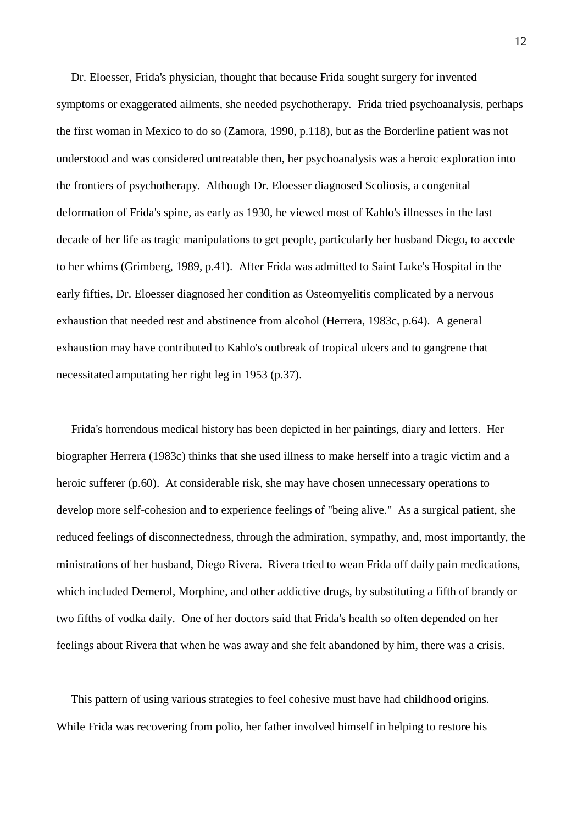Dr. Eloesser, Frida's physician, thought that because Frida sought surgery for invented symptoms or exaggerated ailments, she needed psychotherapy. Frida tried psychoanalysis, perhaps the first woman in Mexico to do so (Zamora, 1990, p.118), but as the Borderline patient was not understood and was considered untreatable then, her psychoanalysis was a heroic exploration into the frontiers of psychotherapy. Although Dr. Eloesser diagnosed Scoliosis, a congenital deformation of Frida's spine, as early as 1930, he viewed most of Kahlo's illnesses in the last decade of her life as tragic manipulations to get people, particularly her husband Diego, to accede to her whims (Grimberg, 1989, p.41). After Frida was admitted to Saint Luke's Hospital in the early fifties, Dr. Eloesser diagnosed her condition as Osteomyelitis complicated by a nervous exhaustion that needed rest and abstinence from alcohol (Herrera, 1983c, p.64). A general exhaustion may have contributed to Kahlo's outbreak of tropical ulcers and to gangrene that necessitated amputating her right leg in 1953 (p.37).

 Frida's horrendous medical history has been depicted in her paintings, diary and letters. Her biographer Herrera (1983c) thinks that she used illness to make herself into a tragic victim and a heroic sufferer (p.60). At considerable risk, she may have chosen unnecessary operations to develop more self-cohesion and to experience feelings of "being alive." As a surgical patient, she reduced feelings of disconnectedness, through the admiration, sympathy, and, most importantly, the ministrations of her husband, Diego Rivera. Rivera tried to wean Frida off daily pain medications, which included Demerol, Morphine, and other addictive drugs, by substituting a fifth of brandy or two fifths of vodka daily. One of her doctors said that Frida's health so often depended on her feelings about Rivera that when he was away and she felt abandoned by him, there was a crisis.

 This pattern of using various strategies to feel cohesive must have had childhood origins. While Frida was recovering from polio, her father involved himself in helping to restore his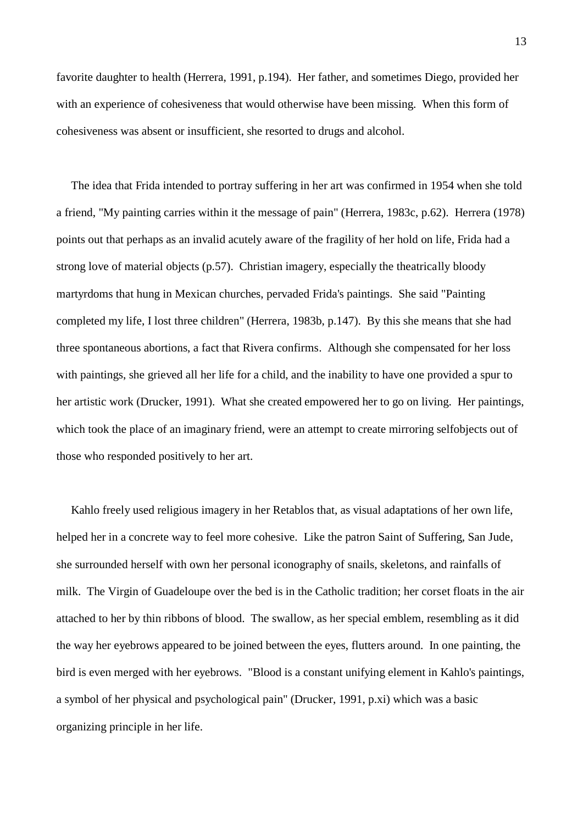favorite daughter to health (Herrera, 1991, p.194). Her father, and sometimes Diego, provided her with an experience of cohesiveness that would otherwise have been missing. When this form of cohesiveness was absent or insufficient, she resorted to drugs and alcohol.

 The idea that Frida intended to portray suffering in her art was confirmed in 1954 when she told a friend, "My painting carries within it the message of pain" (Herrera, 1983c, p.62). Herrera (1978) points out that perhaps as an invalid acutely aware of the fragility of her hold on life, Frida had a strong love of material objects (p.57). Christian imagery, especially the theatrically bloody martyrdoms that hung in Mexican churches, pervaded Frida's paintings. She said "Painting completed my life, I lost three children" (Herrera, 1983b, p.147). By this she means that she had three spontaneous abortions, a fact that Rivera confirms. Although she compensated for her loss with paintings, she grieved all her life for a child, and the inability to have one provided a spur to her artistic work (Drucker, 1991). What she created empowered her to go on living. Her paintings, which took the place of an imaginary friend, were an attempt to create mirroring selfobjects out of those who responded positively to her art.

 Kahlo freely used religious imagery in her Retablos that, as visual adaptations of her own life, helped her in a concrete way to feel more cohesive. Like the patron Saint of Suffering, San Jude, she surrounded herself with own her personal iconography of snails, skeletons, and rainfalls of milk. The Virgin of Guadeloupe over the bed is in the Catholic tradition; her corset floats in the air attached to her by thin ribbons of blood. The swallow, as her special emblem, resembling as it did the way her eyebrows appeared to be joined between the eyes, flutters around. In one painting, the bird is even merged with her eyebrows. "Blood is a constant unifying element in Kahlo's paintings, a symbol of her physical and psychological pain" (Drucker, 1991, p.xi) which was a basic organizing principle in her life.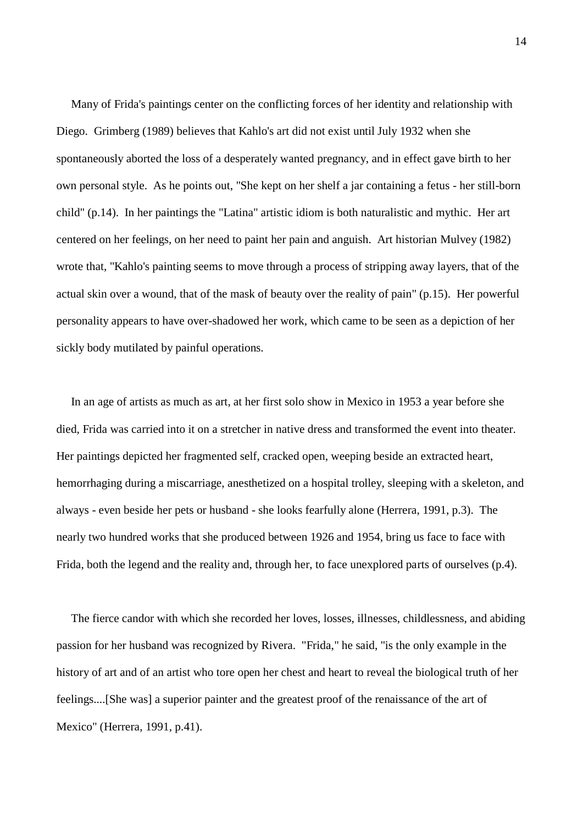Many of Frida's paintings center on the conflicting forces of her identity and relationship with Diego. Grimberg (1989) believes that Kahlo's art did not exist until July 1932 when she spontaneously aborted the loss of a desperately wanted pregnancy, and in effect gave birth to her own personal style. As he points out, "She kept on her shelf a jar containing a fetus - her still-born child" (p.14). In her paintings the "Latina" artistic idiom is both naturalistic and mythic. Her art centered on her feelings, on her need to paint her pain and anguish. Art historian Mulvey (1982) wrote that, "Kahlo's painting seems to move through a process of stripping away layers, that of the actual skin over a wound, that of the mask of beauty over the reality of pain" (p.15). Her powerful personality appears to have over-shadowed her work, which came to be seen as a depiction of her sickly body mutilated by painful operations.

 In an age of artists as much as art, at her first solo show in Mexico in 1953 a year before she died, Frida was carried into it on a stretcher in native dress and transformed the event into theater. Her paintings depicted her fragmented self, cracked open, weeping beside an extracted heart, hemorrhaging during a miscarriage, anesthetized on a hospital trolley, sleeping with a skeleton, and always - even beside her pets or husband - she looks fearfully alone (Herrera, 1991, p.3). The nearly two hundred works that she produced between 1926 and 1954, bring us face to face with Frida, both the legend and the reality and, through her, to face unexplored parts of ourselves (p.4).

 The fierce candor with which she recorded her loves, losses, illnesses, childlessness, and abiding passion for her husband was recognized by Rivera. "Frida," he said, "is the only example in the history of art and of an artist who tore open her chest and heart to reveal the biological truth of her feelings....[She was] a superior painter and the greatest proof of the renaissance of the art of Mexico" (Herrera, 1991, p.41).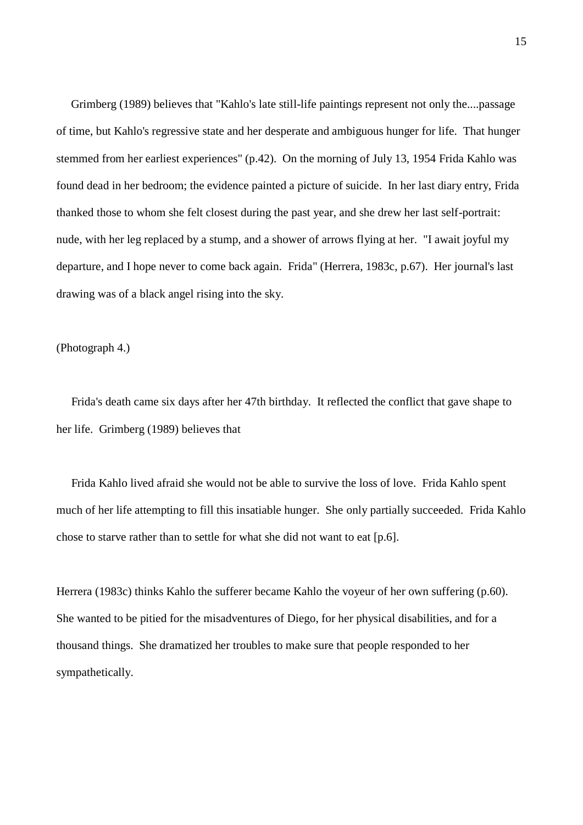Grimberg (1989) believes that "Kahlo's late still-life paintings represent not only the....passage of time, but Kahlo's regressive state and her desperate and ambiguous hunger for life. That hunger stemmed from her earliest experiences" (p.42). On the morning of July 13, 1954 Frida Kahlo was found dead in her bedroom; the evidence painted a picture of suicide. In her last diary entry, Frida thanked those to whom she felt closest during the past year, and she drew her last self-portrait: nude, with her leg replaced by a stump, and a shower of arrows flying at her. "I await joyful my departure, and I hope never to come back again. Frida" (Herrera, 1983c, p.67). Her journal's last drawing was of a black angel rising into the sky.

(Photograph 4.)

 Frida's death came six days after her 47th birthday. It reflected the conflict that gave shape to her life. Grimberg (1989) believes that

 Frida Kahlo lived afraid she would not be able to survive the loss of love. Frida Kahlo spent much of her life attempting to fill this insatiable hunger. She only partially succeeded. Frida Kahlo chose to starve rather than to settle for what she did not want to eat [p.6].

Herrera (1983c) thinks Kahlo the sufferer became Kahlo the voyeur of her own suffering (p.60). She wanted to be pitied for the misadventures of Diego, for her physical disabilities, and for a thousand things. She dramatized her troubles to make sure that people responded to her sympathetically.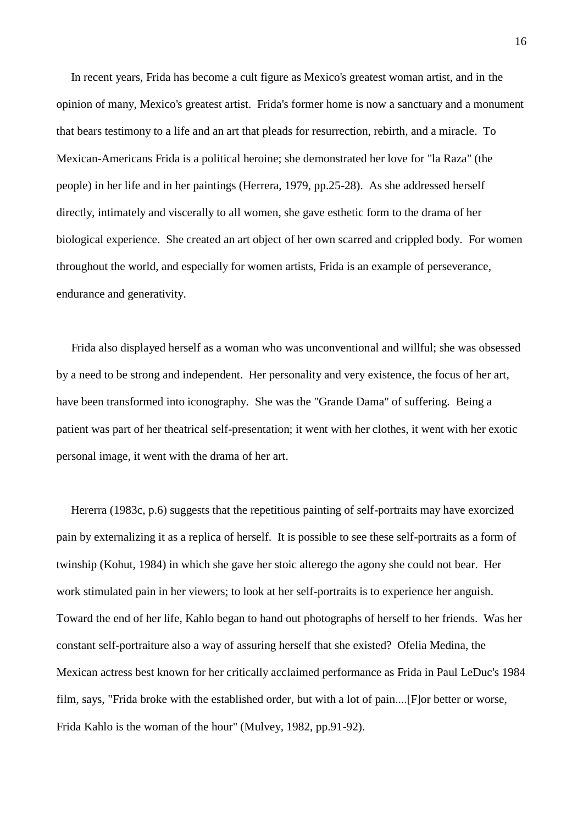In recent years, Frida has become a cult figure as Mexico's greatest woman artist, and in the opinion of many, Mexico's greatest artist. Frida's former home is now a sanctuary and a monument that bears testimony to a life and an art that pleads for resurrection, rebirth, and a miracle. To Mexican-Americans Frida is a political heroine; she demonstrated her love for "la Raza" (the people) in her life and in her paintings (Herrera, 1979, pp.25-28). As she addressed herself directly, intimately and viscerally to all women, she gave esthetic form to the drama of her biological experience. She created an art object of her own scarred and crippled body. For women throughout the world, and especially for women artists, Frida is an example of perseverance, endurance and generativity.

 Frida also displayed herself as a woman who was unconventional and willful; she was obsessed by a need to be strong and independent. Her personality and very existence, the focus of her art, have been transformed into iconography. She was the "Grande Dama" of suffering. Being a patient was part of her theatrical self-presentation; it went with her clothes, it went with her exotic personal image, it went with the drama of her art.

 Hererra (1983c, p.6) suggests that the repetitious painting of self-portraits may have exorcized pain by externalizing it as a replica of herself. It is possible to see these self-portraits as a form of twinship (Kohut, 1984) in which she gave her stoic alterego the agony she could not bear. Her work stimulated pain in her viewers; to look at her self-portraits is to experience her anguish. Toward the end of her life, Kahlo began to hand out photographs of herself to her friends. Was her constant self-portraiture also a way of assuring herself that she existed? Ofelia Medina, the Mexican actress best known for her critically acclaimed performance as Frida in Paul LeDuc's 1984 film, says, "Frida broke with the established order, but with a lot of pain....[F]or better or worse, Frida Kahlo is the woman of the hour" (Mulvey, 1982, pp.91-92).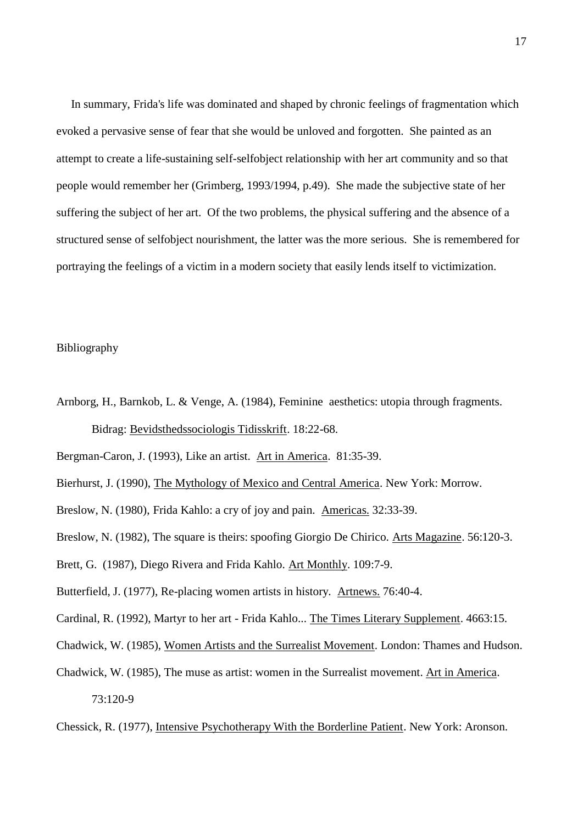In summary, Frida's life was dominated and shaped by chronic feelings of fragmentation which evoked a pervasive sense of fear that she would be unloved and forgotten. She painted as an attempt to create a life-sustaining self-selfobject relationship with her art community and so that people would remember her (Grimberg, 1993/1994, p.49). She made the subjective state of her suffering the subject of her art. Of the two problems, the physical suffering and the absence of a structured sense of selfobject nourishment, the latter was the more serious. She is remembered for portraying the feelings of a victim in a modern society that easily lends itself to victimization.

## Bibliography

Arnborg, H., Barnkob, L. & Venge, A. (1984), Feminine aesthetics: utopia through fragments. Bidrag: Bevidsthedssociologis Tidisskrift. 18:22-68.

Bergman-Caron, J. (1993), Like an artist. Art in America. 81:35-39.

Bierhurst, J. (1990), The Mythology of Mexico and Central America. New York: Morrow.

Breslow, N. (1980), Frida Kahlo: a cry of joy and pain. Americas. 32:33-39.

Breslow, N. (1982), The square is theirs: spoofing Giorgio De Chirico. Arts Magazine. 56:120-3.

Brett, G. (1987), Diego Rivera and Frida Kahlo. Art Monthly. 109:7-9.

Butterfield, J. (1977), Re-placing women artists in history. Artnews. 76:40-4.

Cardinal, R. (1992), Martyr to her art - Frida Kahlo... The Times Literary Supplement. 4663:15.

Chadwick, W. (1985), Women Artists and the Surrealist Movement. London: Thames and Hudson.

Chadwick, W. (1985), The muse as artist: women in the Surrealist movement. Art in America. 73:120-9

Chessick, R. (1977), Intensive Psychotherapy With the Borderline Patient. New York: Aronson.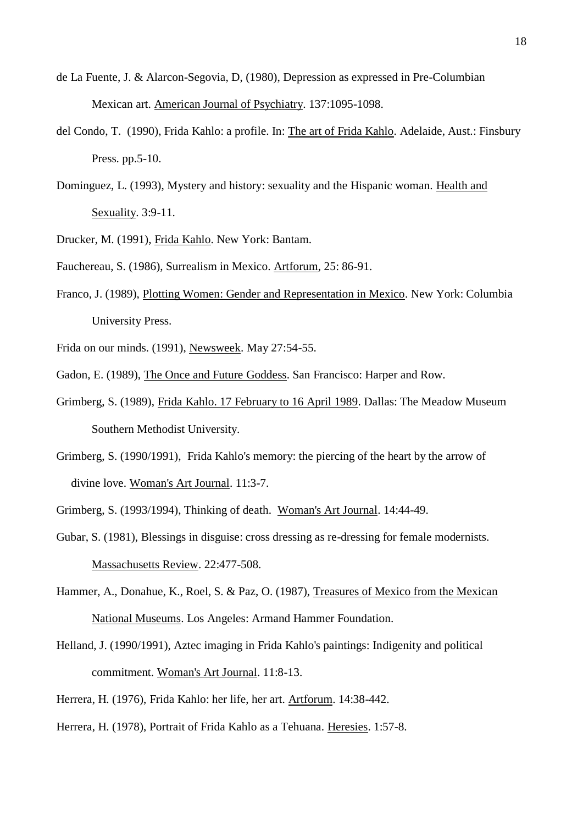- de La Fuente, J. & Alarcon-Segovia, D, (1980), Depression as expressed in Pre-Columbian Mexican art. American Journal of Psychiatry. 137:1095-1098.
- del Condo, T. (1990), Frida Kahlo: a profile. In: The art of Frida Kahlo. Adelaide, Aust.: Finsbury Press. pp.5-10.
- Dominguez, L. (1993), Mystery and history: sexuality and the Hispanic woman. Health and Sexuality. 3:9-11.
- Drucker, M. (1991), Frida Kahlo. New York: Bantam.
- Fauchereau, S. (1986), Surrealism in Mexico. Artforum, 25: 86-91.
- Franco, J. (1989), Plotting Women: Gender and Representation in Mexico. New York: Columbia University Press.
- Frida on our minds. (1991), Newsweek. May 27:54-55.
- Gadon, E. (1989), The Once and Future Goddess. San Francisco: Harper and Row.
- Grimberg, S. (1989), Frida Kahlo. 17 February to 16 April 1989. Dallas: The Meadow Museum Southern Methodist University.
- Grimberg, S. (1990/1991), Frida Kahlo's memory: the piercing of the heart by the arrow of divine love. Woman's Art Journal. 11:3-7.
- Grimberg, S. (1993/1994), Thinking of death. Woman's Art Journal. 14:44-49.
- Gubar, S. (1981), Blessings in disguise: cross dressing as re-dressing for female modernists. Massachusetts Review. 22:477-508.
- Hammer, A., Donahue, K., Roel, S. & Paz, O. (1987), Treasures of Mexico from the Mexican National Museums. Los Angeles: Armand Hammer Foundation.
- Helland, J. (1990/1991), Aztec imaging in Frida Kahlo's paintings: Indigenity and political commitment. Woman's Art Journal. 11:8-13.
- Herrera, H. (1976), Frida Kahlo: her life, her art. Artforum. 14:38-442.
- Herrera, H. (1978), Portrait of Frida Kahlo as a Tehuana. Heresies. 1:57-8.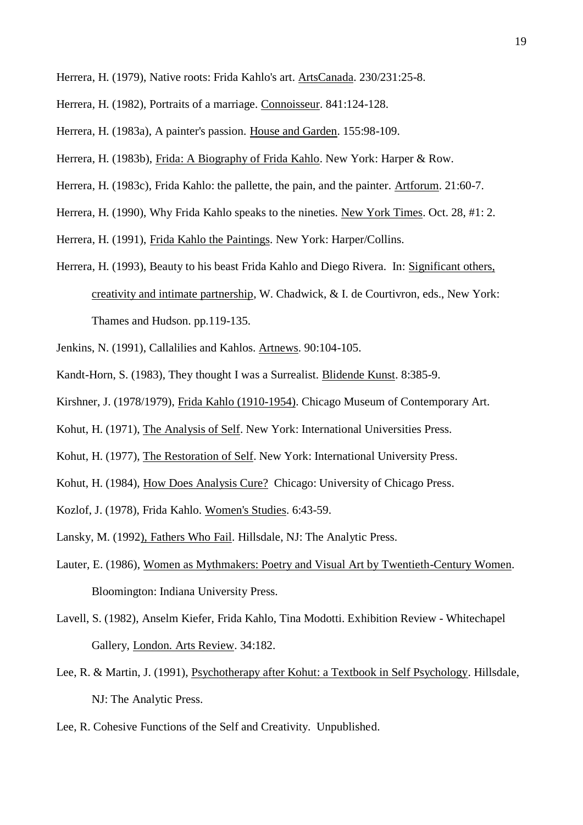- Herrera, H. (1979), Native roots: Frida Kahlo's art. ArtsCanada. 230/231:25-8.
- Herrera, H. (1982), Portraits of a marriage. Connoisseur. 841:124-128.
- Herrera, H. (1983a), A painter's passion. House and Garden. 155:98-109.
- Herrera, H. (1983b), Frida: A Biography of Frida Kahlo. New York: Harper & Row.
- Herrera, H. (1983c), Frida Kahlo: the pallette, the pain, and the painter. Artforum. 21:60-7.
- Herrera, H. (1990), Why Frida Kahlo speaks to the nineties. New York Times. Oct. 28, #1: 2.
- Herrera, H. (1991), Frida Kahlo the Paintings. New York: Harper/Collins.
- Herrera, H. (1993), Beauty to his beast Frida Kahlo and Diego Rivera. In: Significant others, creativity and intimate partnership, W. Chadwick, & I. de Courtivron, eds., New York: Thames and Hudson. pp.119-135.
- Jenkins, N. (1991), Callalilies and Kahlos. Artnews. 90:104-105.
- Kandt-Horn, S. (1983), They thought I was a Surrealist. Blidende Kunst. 8:385-9.
- Kirshner, J. (1978/1979), Frida Kahlo (1910-1954). Chicago Museum of Contemporary Art.
- Kohut, H. (1971), The Analysis of Self. New York: International Universities Press.
- Kohut, H. (1977), The Restoration of Self. New York: International University Press.
- Kohut, H. (1984), How Does Analysis Cure? Chicago: University of Chicago Press.
- Kozlof, J. (1978), Frida Kahlo. Women's Studies. 6:43-59.
- Lansky, M. (1992), Fathers Who Fail. Hillsdale, NJ: The Analytic Press.
- Lauter, E. (1986), Women as Mythmakers: Poetry and Visual Art by Twentieth-Century Women. Bloomington: Indiana University Press.
- Lavell, S. (1982), Anselm Kiefer, Frida Kahlo, Tina Modotti. Exhibition Review Whitechapel Gallery, London. Arts Review. 34:182.
- Lee, R. & Martin, J. (1991), Psychotherapy after Kohut: a Textbook in Self Psychology. Hillsdale, NJ: The Analytic Press.
- Lee, R. Cohesive Functions of the Self and Creativity. Unpublished.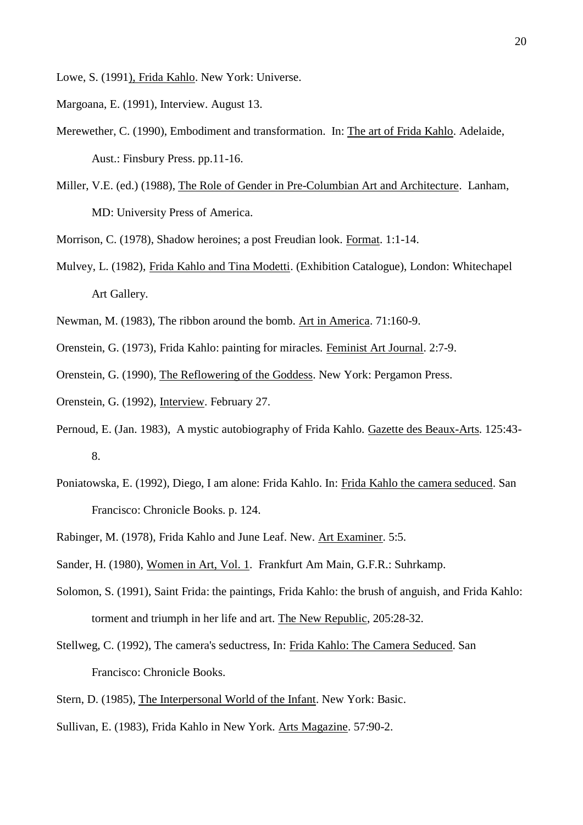Lowe, S. (1991), Frida Kahlo. New York: Universe.

Margoana, E. (1991), Interview. August 13.

- Merewether, C. (1990), Embodiment and transformation. In: The art of Frida Kahlo. Adelaide, Aust.: Finsbury Press. pp.11-16.
- Miller, V.E. (ed.) (1988), The Role of Gender in Pre-Columbian Art and Architecture. Lanham, MD: University Press of America.
- Morrison, C. (1978), Shadow heroines; a post Freudian look. Format. 1:1-14.
- Mulvey, L. (1982), Frida Kahlo and Tina Modetti. (Exhibition Catalogue), London: Whitechapel Art Gallery.
- Newman, M. (1983), The ribbon around the bomb. Art in America. 71:160-9.
- Orenstein, G. (1973), Frida Kahlo: painting for miracles. Feminist Art Journal. 2:7-9.
- Orenstein, G. (1990), The Reflowering of the Goddess. New York: Pergamon Press.
- Orenstein, G. (1992), Interview. February 27.
- Pernoud, E. (Jan. 1983), A mystic autobiography of Frida Kahlo. Gazette des Beaux-Arts. 125:43- 8.
- Poniatowska, E. (1992), Diego, I am alone: Frida Kahlo. In: Frida Kahlo the camera seduced. San Francisco: Chronicle Books. p. 124.
- Rabinger, M. (1978), Frida Kahlo and June Leaf. New. Art Examiner. 5:5.
- Sander, H. (1980), Women in Art, Vol. 1. Frankfurt Am Main, G.F.R.: Suhrkamp.
- Solomon, S. (1991), Saint Frida: the paintings, Frida Kahlo: the brush of anguish, and Frida Kahlo: torment and triumph in her life and art. The New Republic, 205:28-32.
- Stellweg, C. (1992), The camera's seductress, In: Frida Kahlo: The Camera Seduced. San Francisco: Chronicle Books.
- Stern, D. (1985), The Interpersonal World of the Infant. New York: Basic.
- Sullivan, E. (1983), Frida Kahlo in New York. Arts Magazine. 57:90-2.